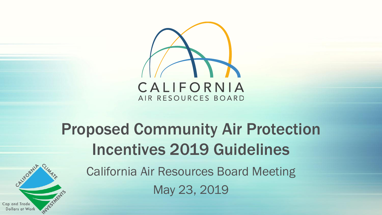

# Proposed Community Air Protection Incentives 2019 Guidelines

California Air Resources Board Meeting May 23, 2019

CALIFORNIA

Cap and Trade Dollars at Worl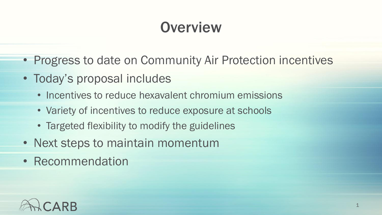## **Overview**

- Progress to date on Community Air Protection incentives
- Today's proposal includes
	- Incentives to reduce hexavalent chromium emissions
	- Variety of incentives to reduce exposure at schools
	- Targeted flexibility to modify the guidelines
- Next steps to maintain momentum
- Recommendation

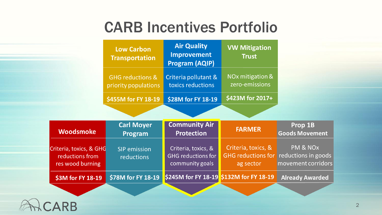#### CARB Incentives Portfolio

|                                                                | <b>Low Carbon</b><br><b>Transportation</b>          | <b>Air Quality</b><br>Improvement<br><b>Program (AQIP)</b>          | <b>VW Mitigation</b><br><b>Trust</b>                          |                                                                   |
|----------------------------------------------------------------|-----------------------------------------------------|---------------------------------------------------------------------|---------------------------------------------------------------|-------------------------------------------------------------------|
|                                                                | <b>GHG reductions &amp;</b><br>priority populations | Criteria pollutant &<br>toxics reductions                           | NO <sub>x</sub> mitigation &<br>zero-emissions                |                                                                   |
|                                                                | \$455M for FY 18-19                                 | \$28M for FY 18-19                                                  | \$423M for 2017+                                              |                                                                   |
|                                                                |                                                     |                                                                     |                                                               |                                                                   |
| <b>Woodsmoke</b>                                               | <b>Carl Moyer</b><br>Program                        | <b>Community Air</b><br><b>Protection</b>                           | <b>FARMER</b>                                                 | Prop 1B<br><b>Goods Movement</b>                                  |
| Criteria, toxics, & GHG<br>reductions from<br>res wood burning | <b>SIP</b> emission<br>reductions                   | Criteria, toxics, &<br><b>GHG</b> reductions for<br>community goals | Criteria, toxics, &<br><b>GHG reductions for</b><br>ag sector | PM & NO <sub>x</sub><br>reductions in goods<br>movement corridors |
| \$3M for FY 18-19                                              | \$78M for FY 18-19                                  | \$245M for FY 18-19 \$132M for FY 18-19                             |                                                               | <b>Already Awarded</b>                                            |
|                                                                |                                                     |                                                                     |                                                               |                                                                   |

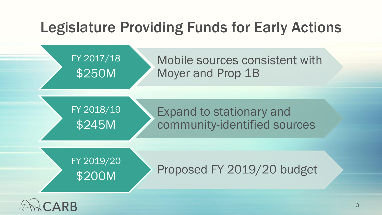#### Legislature Providing Funds for Early Actions



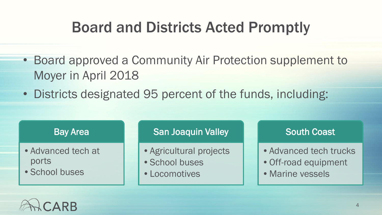### Board and Districts Acted Promptly

- Board approved a Community Air Protection supplement to Moyer in April 2018
- Districts designated 95 percent of the funds, including:

#### Bay Area

- •Advanced tech at ports
- •School buses

#### San Joaquin Valley

- •Agricultural projects
- •School buses
- •Locomotives

#### South Coast

- Advanced tech trucks
- •Off-road equipment
- •Marine vessels

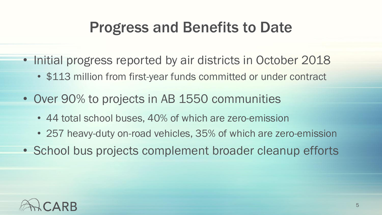#### Progress and Benefits to Date

- Initial progress reported by air districts in October 2018
	- \$113 million from first-year funds committed or under contract
- Over 90% to projects in AB 1550 communities
	- 44 total school buses, 40% of which are zero-emission
	- 257 heavy-duty on-road vehicles, 35% of which are zero-emission
- School bus projects complement broader cleanup efforts

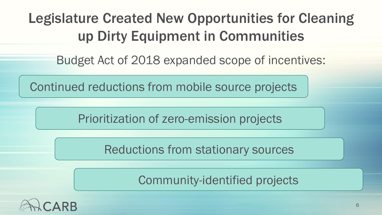Legislature Created New Opportunities for Cleaning up Dirty Equipment in Communities

Budget Act of 2018 expanded scope of incentives:

Continued reductions from mobile source projects

Prioritization of zero-emission projects

Reductions from stationary sources

Community-identified projects

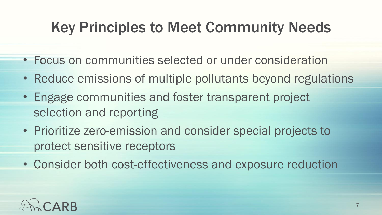# Key Principles to Meet Community Needs

- Focus on communities selected or under consideration
- Reduce emissions of multiple pollutants beyond regulations
- • Engage communities and foster transparent project selection and reporting
- Prioritize zero-emission and consider special projects to protect sensitive receptors
- Consider both cost-effectiveness and exposure reduction

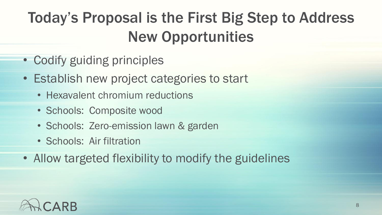# Today's Proposal is the First Big Step to Address New Opportunities

- Codify guiding principles
- Establish new project categories to start
	- Hexavalent chromium reductions
	- Schools: Composite wood
	- Schools: Zero-emission lawn & garden
	- Schools: Air filtration
- Allow targeted flexibility to modify the guidelines

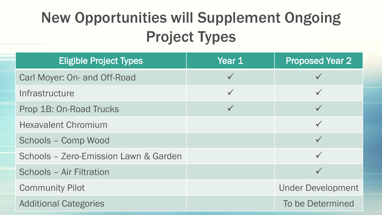# New Opportunities will Supplement Ongoing Project Types

| <b>Eligible Project Types</b>         | Year 1       | <b>Proposed Year 2</b>   |
|---------------------------------------|--------------|--------------------------|
| Carl Moyer: On- and Off-Road          | $\checkmark$ |                          |
| Infrastructure                        | $\checkmark$ | $\checkmark$             |
| Prop 1B: On-Road Trucks               | $\checkmark$ | $\checkmark$             |
| <b>Hexavalent Chromium</b>            |              | $\checkmark$             |
| Schools - Comp Wood                   |              |                          |
| Schools - Zero-Emission Lawn & Garden |              |                          |
| Schools - Air Filtration              |              | $\checkmark$             |
| <b>Community Pilot</b>                |              | <b>Under Development</b> |
| <b>Additional Categories</b>          |              | To be Determined         |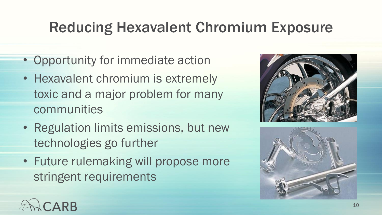## Reducing Hexavalent Chromium Exposure

- Opportunity for immediate action
- Hexavalent chromium is extremely toxic and a major problem for many communities
- Regulation limits emissions, but new technologies go further
- Future rulemaking will propose more stringent requirements





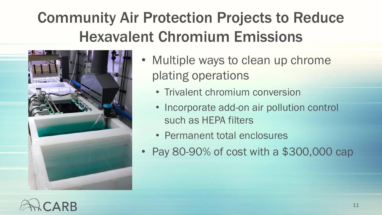# Community Air Protection Projects to Reduce Hexavalent Chromium Emissions



- Multiple ways to clean up chrome plating operations
	- Trivalent chromium conversion
	- Incorporate add-on air pollution control such as HEPA filters
	- Permanent total enclosures
- Pay 80-90% of cost with a \$300,000 cap

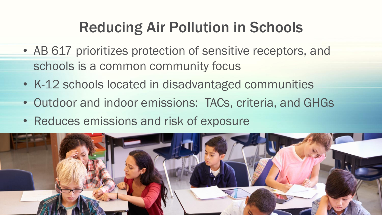# Reducing Air Pollution in Schools

- AB 617 prioritizes protection of sensitive receptors, and schools is a common community focus
- K-12 schools located in disadvantaged communities
- Outdoor and indoor emissions: TACs, criteria, and GHGs
- Reduces emissions and risk of exposure

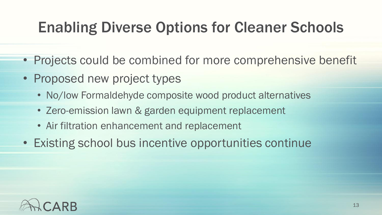## Enabling Diverse Options for Cleaner Schools

- Projects could be combined for more comprehensive benefit
- Proposed new project types
	- No/low Formaldehyde composite wood product alternatives
	- Zero-emission lawn & garden equipment replacement
	- Air filtration enhancement and replacement
- Existing school bus incentive opportunities continue

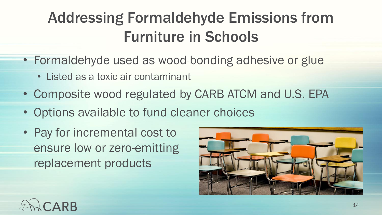# Addressing Formaldehyde Emissions from Furniture in Schools

- Formaldehyde used as wood-bonding adhesive or glue
	- Listed as a toxic air contaminant
- Composite wood regulated by CARB ATCM and U.S. EPA
- Options available to fund cleaner choices
- Pay for incremental cost to ensure low or zero-emitting replacement products



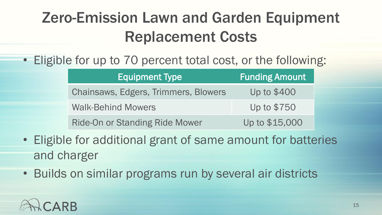# Zero-Emission Lawn and Garden Equipment Replacement Costs

#### • Eligible for up to 70 percent total cost, or the following:

| <b>Equipment Type</b>                 | <b>Funding Amount</b> |  |
|---------------------------------------|-----------------------|--|
| Chainsaws, Edgers, Trimmers, Blowers  | Up to \$400           |  |
| <b>Walk-Behind Mowers</b>             | Up to \$750           |  |
| <b>Ride-On or Standing Ride Mower</b> | Up to \$15,000        |  |

- Eligible for additional grant of same amount for batteries and charger
- Builds on similar programs run by several air districts

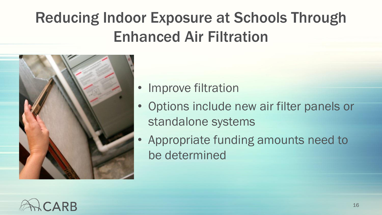# Reducing Indoor Exposure at Schools Through Enhanced Air Filtration



- Improve filtration
- Options include new air filter panels or standalone systems
- Appropriate funding amounts need to be determined

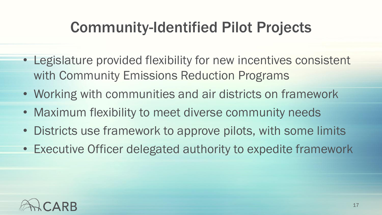# Community-Identified Pilot Projects

- Legislature provided flexibility for new incentives consistent with Community Emissions Reduction Programs
- Working with communities and air districts on framework
- Maximum flexibility to meet diverse community needs
- Districts use framework to approve pilots, with some limits
- Executive Officer delegated authority to expedite framework

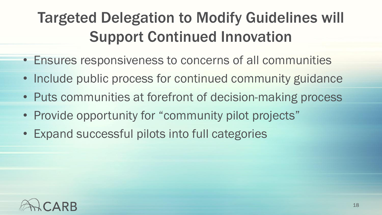# Targeted Delegation to Modify Guidelines will Support Continued Innovation

- Ensures responsiveness to concerns of all communities
- Include public process for continued community guidance
- Puts communities at forefront of decision-making process
- Provide opportunity for "community pilot projects"
- Expand successful pilots into full categories

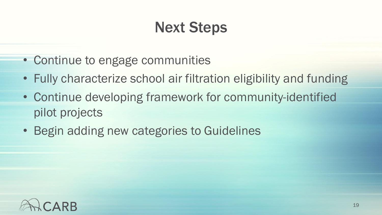# Next Steps

- Continue to engage communities
- Fully characterize school air filtration eligibility and funding
- Continue developing framework for community-identified pilot projects
- Begin adding new categories to Guidelines